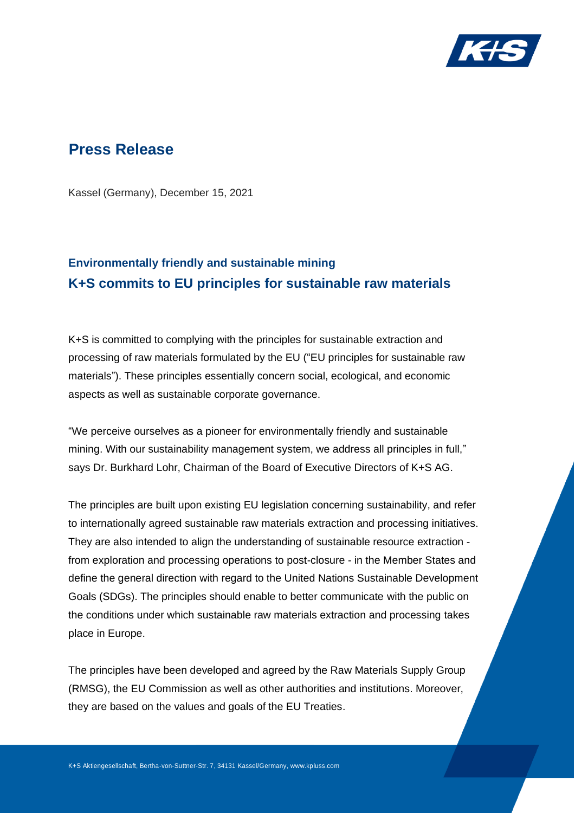

## **Press Release**

Kassel (Germany), December 15, 2021

# **Environmentally friendly and sustainable mining K+S commits to EU principles for sustainable raw materials**

K+S is committed to complying with the principles for sustainable extraction and processing of raw materials formulated by the EU ("EU principles for sustainable raw materials"). These principles essentially concern social, ecological, and economic aspects as well as sustainable corporate governance.

"We perceive ourselves as a pioneer for environmentally friendly and sustainable mining. With our sustainability management system, we address all principles in full," says Dr. Burkhard Lohr, Chairman of the Board of Executive Directors of K+S AG.

The principles are built upon existing EU legislation concerning sustainability, and refer to internationally agreed sustainable raw materials extraction and processing initiatives. They are also intended to align the understanding of sustainable resource extraction from exploration and processing operations to post-closure - in the Member States and define the general direction with regard to the United Nations Sustainable Development Goals (SDGs). The principles should enable to better communicate with the public on the conditions under which sustainable raw materials extraction and processing takes place in Europe.

The principles have been developed and agreed by the Raw Materials Supply Group (RMSG), the EU Commission as well as other authorities and institutions. Moreover, they are based on the values and goals of the EU Treaties.